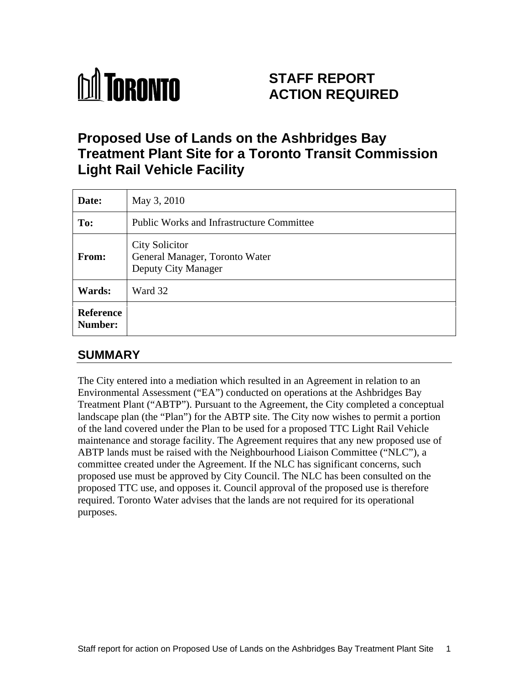

# **STAFF REPORT ACTION REQUIRED**

# **Proposed Use of Lands on the Ashbridges Bay Treatment Plant Site for a Toronto Transit Commission Light Rail Vehicle Facility**

| Date:                | May 3, 2010                                                             |
|----------------------|-------------------------------------------------------------------------|
| To:                  | <b>Public Works and Infrastructure Committee</b>                        |
| From:                | City Solicitor<br>General Manager, Toronto Water<br>Deputy City Manager |
| <b>Wards:</b>        | Ward 32                                                                 |
| Reference<br>Number: |                                                                         |

# **SUMMARY**

The City entered into a mediation which resulted in an Agreement in relation to an Environmental Assessment ("EA") conducted on operations at the Ashbridges Bay Treatment Plant ("ABTP"). Pursuant to the Agreement, the City completed a conceptual landscape plan (the "Plan") for the ABTP site. The City now wishes to permit a portion of the land covered under the Plan to be used for a proposed TTC Light Rail Vehicle maintenance and storage facility. The Agreement requires that any new proposed use of ABTP lands must be raised with the Neighbourhood Liaison Committee ("NLC"), a committee created under the Agreement. If the NLC has significant concerns, such proposed use must be approved by City Council. The NLC has been consulted on the proposed TTC use, and opposes it. Council approval of the proposed use is therefore required. Toronto Water advises that the lands are not required for its operational purposes.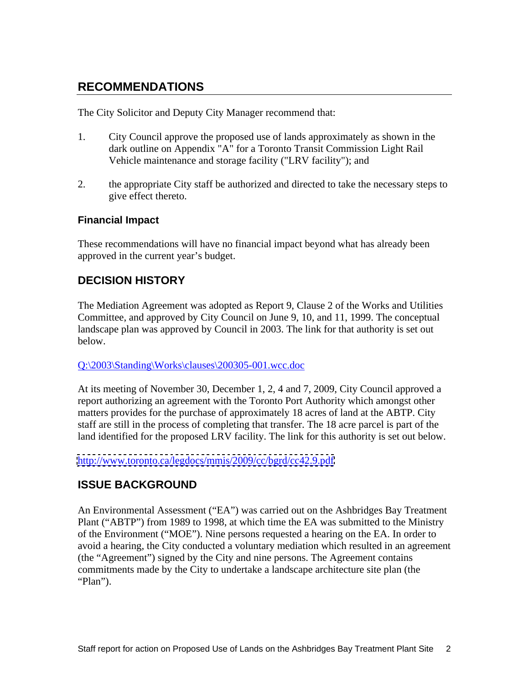# **RECOMMENDATIONS**

The City Solicitor and Deputy City Manager recommend that:

- 1. City Council approve the proposed use of lands approximately as shown in the dark outline on Appendix "A" for a Toronto Transit Commission Light Rail Vehicle maintenance and storage facility ("LRV facility"); and
- 2. the appropriate City staff be authorized and directed to take the necessary steps to give effect thereto.

### **Financial Impact**

These recommendations will have no financial impact beyond what has already been approved in the current year's budget.

### **DECISION HISTORY**

The Mediation Agreement was adopted as Report 9, Clause 2 of the Works and Utilities Committee, and approved by City Council on June 9, 10, and 11, 1999. The conceptual landscape plan was approved by Council in 2003. The link for that authority is set out below.

### Q:\2003\Standing\Works\clauses\200305-001.wcc.doc

At its meeting of November 30, December 1, 2, 4 and 7, 2009, City Council approved a report authorizing an agreement with the Toronto Port Authority which amongst other matters provides for the purchase of approximately 18 acres of land at the ABTP. City staff are still in the process of completing that transfer. The 18 acre parcel is part of the land identified for the proposed LRV facility. The link for this authority is set out below.

<http://www.toronto.ca/legdocs/mmis/2009/cc/bgrd/cc42.9.pdf>

### **ISSUE BACKGROUND**

An Environmental Assessment ("EA") was carried out on the Ashbridges Bay Treatment Plant ("ABTP") from 1989 to 1998, at which time the EA was submitted to the Ministry of the Environment ("MOE"). Nine persons requested a hearing on the EA. In order to avoid a hearing, the City conducted a voluntary mediation which resulted in an agreement (the "Agreement") signed by the City and nine persons. The Agreement contains commitments made by the City to undertake a landscape architecture site plan (the "Plan").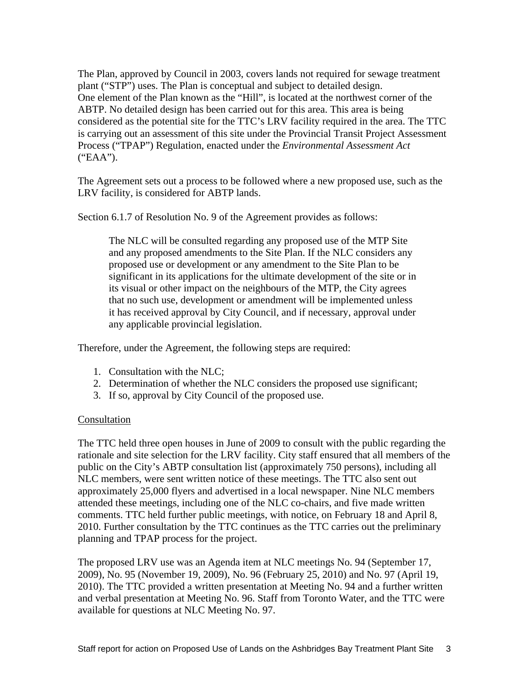The Plan, approved by Council in 2003, covers lands not required for sewage treatment plant ("STP") uses. The Plan is conceptual and subject to detailed design. One element of the Plan known as the "Hill", is located at the northwest corner of the ABTP. No detailed design has been carried out for this area. This area is being considered as the potential site for the TTC's LRV facility required in the area. The TTC is carrying out an assessment of this site under the Provincial Transit Project Assessment Process ("TPAP") Regulation, enacted under the *Environmental Assessment Act* ("EAA").

The Agreement sets out a process to be followed where a new proposed use, such as the LRV facility, is considered for ABTP lands.

Section 6.1.7 of Resolution No. 9 of the Agreement provides as follows:

The NLC will be consulted regarding any proposed use of the MTP Site and any proposed amendments to the Site Plan. If the NLC considers any proposed use or development or any amendment to the Site Plan to be significant in its applications for the ultimate development of the site or in its visual or other impact on the neighbours of the MTP, the City agrees that no such use, development or amendment will be implemented unless it has received approval by City Council, and if necessary, approval under any applicable provincial legislation.

Therefore, under the Agreement, the following steps are required:

- 1. Consultation with the NLC;
- 2. Determination of whether the NLC considers the proposed use significant;
- 3. If so, approval by City Council of the proposed use.

#### **Consultation**

The TTC held three open houses in June of 2009 to consult with the public regarding the rationale and site selection for the LRV facility. City staff ensured that all members of the public on the City's ABTP consultation list (approximately 750 persons), including all NLC members, were sent written notice of these meetings. The TTC also sent out approximately 25,000 flyers and advertised in a local newspaper. Nine NLC members attended these meetings, including one of the NLC co-chairs, and five made written comments. TTC held further public meetings, with notice, on February 18 and April 8, 2010. Further consultation by the TTC continues as the TTC carries out the preliminary planning and TPAP process for the project.

The proposed LRV use was an Agenda item at NLC meetings No. 94 (September 17, 2009), No. 95 (November 19, 2009), No. 96 (February 25, 2010) and No. 97 (April 19, 2010). The TTC provided a written presentation at Meeting No. 94 and a further written and verbal presentation at Meeting No. 96. Staff from Toronto Water, and the TTC were available for questions at NLC Meeting No. 97.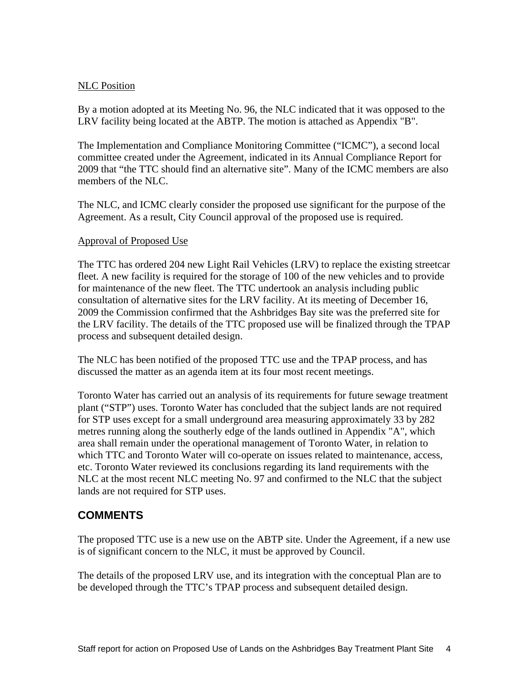#### NLC Position **NUC Position**

By a motion adopted at its Meeting No. 96, the NLC indicated that it was opposed to the LRV facility being located at the ABTP. The motion is attached as Appendix "B".

The Implementation and Compliance Monitoring Committee ("ICMC"), a second local committee created under the Agreement, indicated in its Annual Compliance Report for 2009 that "the TTC should find an alternative site". Many of the ICMC members are also members of the NLC.

The NLC, and ICMC clearly consider the proposed use significant for the purpose of the Agreement. As a result, City Council approval of the proposed use is required.

#### Approval of Proposed Use

The TTC has ordered 204 new Light Rail Vehicles (LRV) to replace the existing streetcar fleet. A new facility is required for the storage of 100 of the new vehicles and to provide for maintenance of the new fleet. The TTC undertook an analysis including public consultation of alternative sites for the LRV facility. At its meeting of December 16, 2009 the Commission confirmed that the Ashbridges Bay site was the preferred site for the LRV facility. The details of the TTC proposed use will be finalized through the TPAP process and subsequent detailed design.

The NLC has been notified of the proposed TTC use and the TPAP process, and has discussed the matter as an agenda item at its four most recent meetings.

Toronto Water has carried out an analysis of its requirements for future sewage treatment plant ("STP") uses. Toronto Water has concluded that the subject lands are not required for STP uses except for a small underground area measuring approximately 33 by 282 metres running along the southerly edge of the lands outlined in Appendix "A", which area shall remain under the operational management of Toronto Water, in relation to which TTC and Toronto Water will co-operate on issues related to maintenance, access, etc. Toronto Water reviewed its conclusions regarding its land requirements with the NLC at the most recent NLC meeting No. 97 and confirmed to the NLC that the subject lands are not required for STP uses.

### **COMMENTS**

The proposed TTC use is a new use on the ABTP site. Under the Agreement, if a new use is of significant concern to the NLC, it must be approved by Council.

The details of the proposed LRV use, and its integration with the conceptual Plan are to be developed through the TTC's TPAP process and subsequent detailed design.